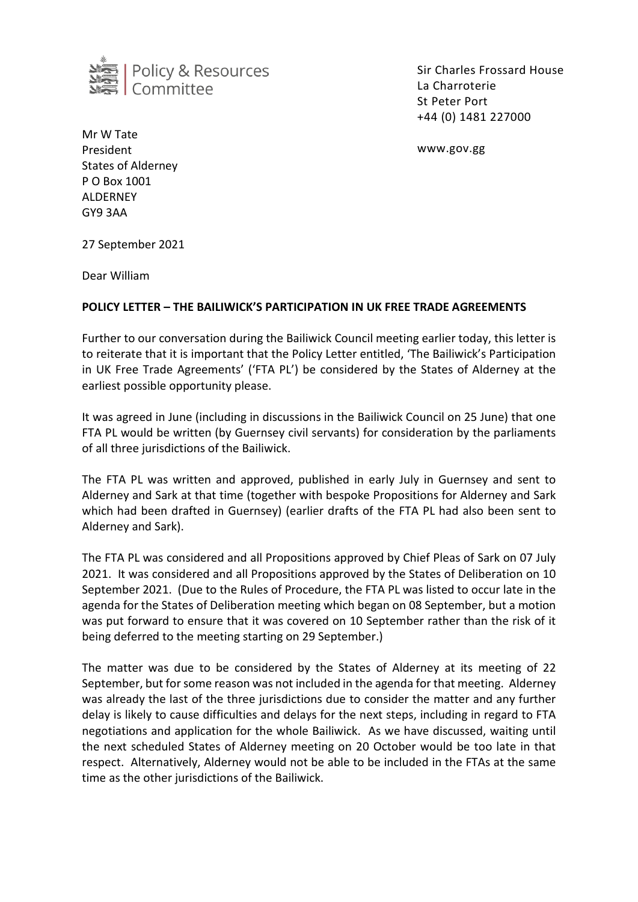

Sir Charles Frossard House La Charroterie St Peter Port +44 (0) 1481 227000

www.gov.gg

Mr W Tate President States of Alderney P O Box 1001 ALDERNEY GY9 3AA

27 September 2021

Dear William

## **POLICY LETTER – THE BAILIWICK'S PARTICIPATION IN UK FREE TRADE AGREEMENTS**

Further to our conversation during the Bailiwick Council meeting earlier today, this letter is to reiterate that it is important that the Policy Letter entitled, 'The Bailiwick's Participation in UK Free Trade Agreements' ('FTA PL') be considered by the States of Alderney at the earliest possible opportunity please.

It was agreed in June (including in discussions in the Bailiwick Council on 25 June) that one FTA PL would be written (by Guernsey civil servants) for consideration by the parliaments of all three jurisdictions of the Bailiwick.

The FTA PL was written and approved, published in early July in Guernsey and sent to Alderney and Sark at that time (together with bespoke Propositions for Alderney and Sark which had been drafted in Guernsey) (earlier drafts of the FTA PL had also been sent to Alderney and Sark).

The FTA PL was considered and all Propositions approved by Chief Pleas of Sark on 07 July 2021. It was considered and all Propositions approved by the States of Deliberation on 10 September 2021. (Due to the Rules of Procedure, the FTA PL was listed to occur late in the agenda for the States of Deliberation meeting which began on 08 September, but a motion was put forward to ensure that it was covered on 10 September rather than the risk of it being deferred to the meeting starting on 29 September.)

The matter was due to be considered by the States of Alderney at its meeting of 22 September, but for some reason was not included in the agenda for that meeting. Alderney was already the last of the three jurisdictions due to consider the matter and any further delay is likely to cause difficulties and delays for the next steps, including in regard to FTA negotiations and application for the whole Bailiwick. As we have discussed, waiting until the next scheduled States of Alderney meeting on 20 October would be too late in that respect. Alternatively, Alderney would not be able to be included in the FTAs at the same time as the other jurisdictions of the Bailiwick.